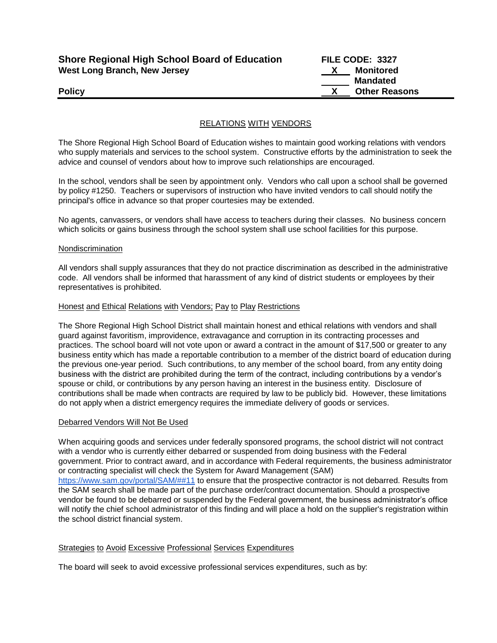| <b>Shore Regional High School Board of Education</b> |  |
|------------------------------------------------------|--|
| <b>West Long Branch, New Jersey</b>                  |  |

**Shore Regional High School Board of Education FILE CODE: 3327 X** Monitored  **Mandated Policy X Other Reasons**

# RELATIONS WITH VENDORS

The Shore Regional High School Board of Education wishes to maintain good working relations with vendors who supply materials and services to the school system. Constructive efforts by the administration to seek the advice and counsel of vendors about how to improve such relationships are encouraged.

In the school, vendors shall be seen by appointment only. Vendors who call upon a school shall be governed by policy #1250. Teachers or supervisors of instruction who have invited vendors to call should notify the principal's office in advance so that proper courtesies may be extended.

No agents, canvassers, or vendors shall have access to teachers during their classes. No business concern which solicits or gains business through the school system shall use school facilities for this purpose.

## Nondiscrimination

All vendors shall supply assurances that they do not practice discrimination as described in the administrative code. All vendors shall be informed that harassment of any kind of district students or employees by their representatives is prohibited.

## Honest and Ethical Relations with Vendors; Pay to Play Restrictions

The Shore Regional High School District shall maintain honest and ethical relations with vendors and shall guard against favoritism, improvidence, extravagance and corruption in its contracting processes and practices. The school board will not vote upon or award a contract in the amount of \$17,500 or greater to any business entity which has made a reportable contribution to a member of the district board of education during the previous one-year period. Such contributions, to any member of the school board, from any entity doing business with the district are prohibited during the term of the contract, including contributions by a vendor's spouse or child, or contributions by any person having an interest in the business entity. Disclosure of contributions shall be made when contracts are required by law to be publicly bid. However, these limitations do not apply when a district emergency requires the immediate delivery of goods or services.

## Debarred Vendors Will Not Be Used

When acquiring goods and services under federally sponsored programs, the school district will not contract with a vendor who is currently either debarred or suspended from doing business with the Federal government. Prior to contract award, and in accordance with Federal requirements, the business administrator or contracting specialist will check the System for Award Management (SAM) [https://www.sam.gov/portal/SAM/##11](https://www.sam.gov/portal/SAM/#%2311) to ensure that the prospective contractor is not debarred. Results from the SAM search shall be made part of the purchase order/contract documentation. Should a prospective vendor be found to be debarred or suspended by the Federal government, the business administrator's office will notify the chief school administrator of this finding and will place a hold on the supplier's registration within the school district financial system.

## Strategies to Avoid Excessive Professional Services Expenditures

The board will seek to avoid excessive professional services expenditures, such as by: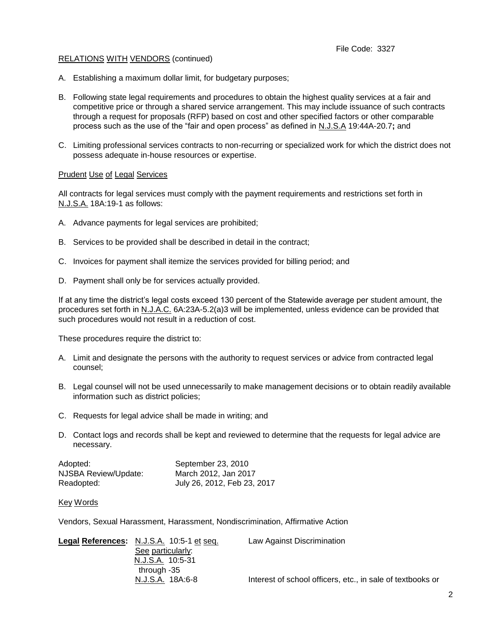## RELATIONS WITH VENDORS (continued)

- A. Establishing a maximum dollar limit, for budgetary purposes;
- B. Following state legal requirements and procedures to obtain the highest quality services at a fair and competitive price or through a shared service arrangement. This may include issuance of such contracts through a request for proposals (RFP) based on cost and other specified factors or other comparable process such as the use of the "fair and open process" as defined in N.J.S.A 19:44A-20.7**;** and
- C. Limiting professional services contracts to non-recurring or specialized work for which the district does not possess adequate in-house resources or expertise.

## Prudent Use of Legal Services

All contracts for legal services must comply with the payment requirements and restrictions set forth in N.J.S.A. 18A:19-1 as follows:

- A. Advance payments for legal services are prohibited;
- B. Services to be provided shall be described in detail in the contract;
- C. Invoices for payment shall itemize the services provided for billing period; and
- D. Payment shall only be for services actually provided.

If at any time the district's legal costs exceed 130 percent of the Statewide average per student amount, the procedures set forth in N.J.A.C. 6A:23A-5.2(a)3 will be implemented, unless evidence can be provided that such procedures would not result in a reduction of cost.

These procedures require the district to:

- A. Limit and designate the persons with the authority to request services or advice from contracted legal counsel;
- B. Legal counsel will not be used unnecessarily to make management decisions or to obtain readily available information such as district policies;
- C. Requests for legal advice shall be made in writing; and
- D. Contact logs and records shall be kept and reviewed to determine that the requests for legal advice are necessary.

| Adopted:             | September 23, 2010          |
|----------------------|-----------------------------|
| NJSBA Review/Update: | March 2012, Jan 2017        |
| Readopted:           | July 26, 2012, Feb 23, 2017 |

## Key Words

Vendors, Sexual Harassment, Harassment, Nondiscrimination, Affirmative Action

| Legal References: N.J.S.A. 10:5-1 et seq. | Law Against Discrimination                                 |
|-------------------------------------------|------------------------------------------------------------|
| See particularly:                         |                                                            |
| N.J.S.A. 10:5-31                          |                                                            |
| through -35                               |                                                            |
| N.J.S.A. 18A:6-8                          | Interest of school officers, etc., in sale of textbooks or |
|                                           |                                                            |